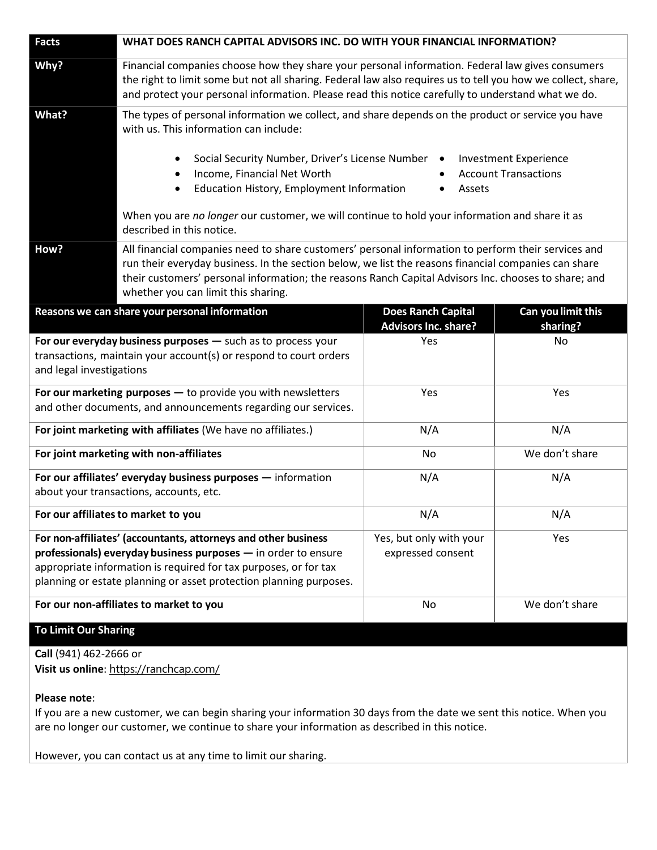| <b>Facts</b>                                                                                                                                                                                                                                                               | WHAT DOES RANCH CAPITAL ADVISORS INC. DO WITH YOUR FINANCIAL INFORMATION?                                                                                                                                                                                                                                                                                  |                                                          |                                                             |
|----------------------------------------------------------------------------------------------------------------------------------------------------------------------------------------------------------------------------------------------------------------------------|------------------------------------------------------------------------------------------------------------------------------------------------------------------------------------------------------------------------------------------------------------------------------------------------------------------------------------------------------------|----------------------------------------------------------|-------------------------------------------------------------|
| Why?                                                                                                                                                                                                                                                                       | Financial companies choose how they share your personal information. Federal law gives consumers<br>the right to limit some but not all sharing. Federal law also requires us to tell you how we collect, share,<br>and protect your personal information. Please read this notice carefully to understand what we do.                                     |                                                          |                                                             |
| What?                                                                                                                                                                                                                                                                      | The types of personal information we collect, and share depends on the product or service you have<br>with us. This information can include:                                                                                                                                                                                                               |                                                          |                                                             |
|                                                                                                                                                                                                                                                                            | Social Security Number, Driver's License Number<br>$\bullet$<br>Income, Financial Net Worth<br>$\bullet$<br>Education History, Employment Information<br>$\bullet$                                                                                                                                                                                         | $\bullet$<br>Assets                                      | <b>Investment Experience</b><br><b>Account Transactions</b> |
|                                                                                                                                                                                                                                                                            | When you are no longer our customer, we will continue to hold your information and share it as<br>described in this notice.                                                                                                                                                                                                                                |                                                          |                                                             |
| How?                                                                                                                                                                                                                                                                       | All financial companies need to share customers' personal information to perform their services and<br>run their everyday business. In the section below, we list the reasons financial companies can share<br>their customers' personal information; the reasons Ranch Capital Advisors Inc. chooses to share; and<br>whether you can limit this sharing. |                                                          |                                                             |
| Reasons we can share your personal information                                                                                                                                                                                                                             |                                                                                                                                                                                                                                                                                                                                                            | <b>Does Ranch Capital</b><br><b>Advisors Inc. share?</b> | Can you limit this<br>sharing?                              |
| For our everyday business purposes - such as to process your<br>transactions, maintain your account(s) or respond to court orders<br>and legal investigations                                                                                                              |                                                                                                                                                                                                                                                                                                                                                            | Yes                                                      | No                                                          |
| For our marketing purposes $-$ to provide you with newsletters<br>and other documents, and announcements regarding our services.                                                                                                                                           |                                                                                                                                                                                                                                                                                                                                                            | Yes                                                      | Yes                                                         |
| For joint marketing with affiliates (We have no affiliates.)                                                                                                                                                                                                               |                                                                                                                                                                                                                                                                                                                                                            | N/A                                                      | N/A                                                         |
| For joint marketing with non-affiliates                                                                                                                                                                                                                                    |                                                                                                                                                                                                                                                                                                                                                            | No                                                       | We don't share                                              |
| For our affiliates' everyday business purposes - information<br>about your transactions, accounts, etc.                                                                                                                                                                    |                                                                                                                                                                                                                                                                                                                                                            | N/A                                                      | N/A                                                         |
| For our affiliates to market to you                                                                                                                                                                                                                                        |                                                                                                                                                                                                                                                                                                                                                            | N/A                                                      | N/A                                                         |
| For non-affiliates' (accountants, attorneys and other business<br>professionals) everyday business purposes - in order to ensure<br>appropriate information is required for tax purposes, or for tax<br>planning or estate planning or asset protection planning purposes. |                                                                                                                                                                                                                                                                                                                                                            | Yes, but only with your<br>expressed consent             | Yes                                                         |
| For our non-affiliates to market to you                                                                                                                                                                                                                                    |                                                                                                                                                                                                                                                                                                                                                            | No                                                       | We don't share                                              |
| <b>To Limit Our Sharing</b>                                                                                                                                                                                                                                                |                                                                                                                                                                                                                                                                                                                                                            |                                                          |                                                             |

**Call** (941) 462-2666 or **Visit us online**: <https://ranchcap.com/>

## **Please note**:

If you are a new customer, we can begin sharing your information 30 days from the date we sent this notice. When you are no longer our customer, we continue to share your information as described in this notice.

However, you can contact us at any time to limit our sharing.